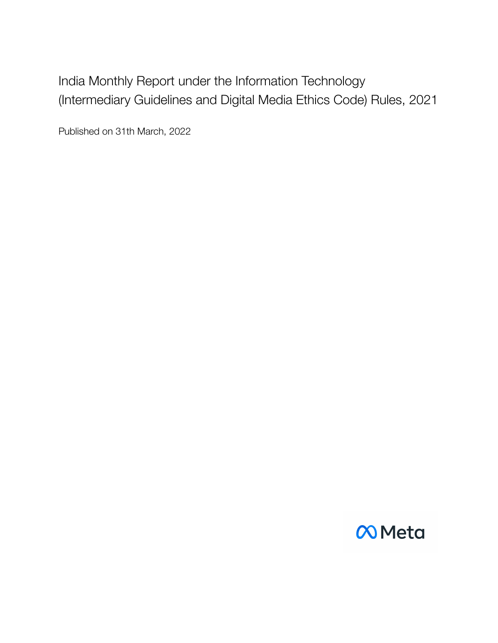India Monthly Report under the Information Technology (Intermediary Guidelines and Digital Media Ethics Code) Rules, 2021

Published on 31th March, 2022

# $\infty$ Meta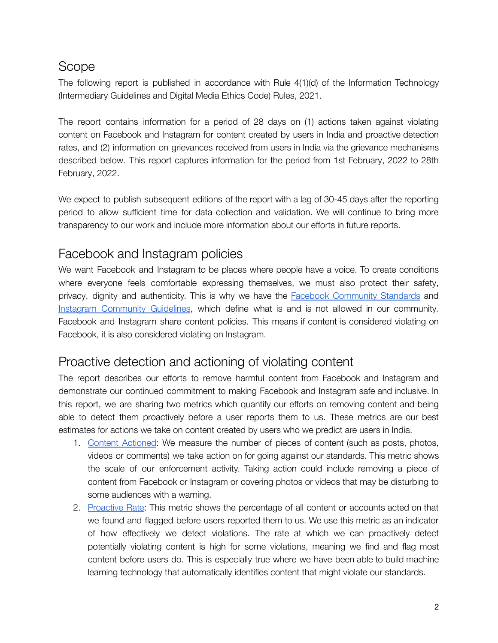# Scope

The following report is published in accordance with Rule 4(1)(d) of the Information Technology (Intermediary Guidelines and Digital Media Ethics Code) Rules, 2021.

The report contains information for a period of 28 days on (1) actions taken against violating content on Facebook and Instagram for content created by users in India and proactive detection rates, and (2) information on grievances received from users in India via the grievance mechanisms described below. This report captures information for the period from 1st February, 2022 to 28th February, 2022.

We expect to publish subsequent editions of the report with a lag of 30-45 days after the reporting period to allow sufficient time for data collection and validation. We will continue to bring more transparency to our work and include more information about our efforts in future reports.

## Facebook and Instagram policies

We want Facebook and Instagram to be places where people have a voice. To create conditions where everyone feels comfortable expressing themselves, we must also protect their safety, privacy, dignity and authenticity. This is why we have the Facebook [Community](https://transparency.fb.com/policies/community-standards/) Standards an[d](https://www.facebook.com/help/instagram/477434105621119) Instagram [Community](https://www.facebook.com/help/instagram/477434105621119) Guidelines, which define what is and is not allowed in our community. Facebook and Instagram share content policies. This means if content is considered violating on Facebook, it is also considered violating on Instagram.

# Proactive detection and actioning of violating content

The report describes our efforts to remove harmful content from Facebook and Instagram and demonstrate our continued commitment to making Facebook and Instagram safe and inclusive. In this report, we are sharing two metrics which quantify our efforts on removing content and being able to detect them proactively before a user reports them to us. These metrics are our best estimates for actions we take on content created by users who we predict are users in India.

- 1. Content [Actioned](https://transparency.fb.com/policies/improving/content-actioned-metric/): We measure the number of pieces of content (such as posts, photos, videos or comments) we take action on for going against our standards. This metric shows the scale of our enforcement activity. Taking action could include removing a piece of content from Facebook or Instagram or covering photos or videos that may be disturbing to some audiences with a warning.
- 2. [Proactive](https://transparency.fb.com/policies/improving/proactive-rate-metric/) Rate: This metric shows the percentage of all content or accounts acted on that we found and flagged before users reported them to us. We use this metric as an indicator of how effectively we detect violations. The rate at which we can proactively detect potentially violating content is high for some violations, meaning we find and flag most content before users do. This is especially true where we have been able to build machine learning technology that automatically identifies content that might violate our standards.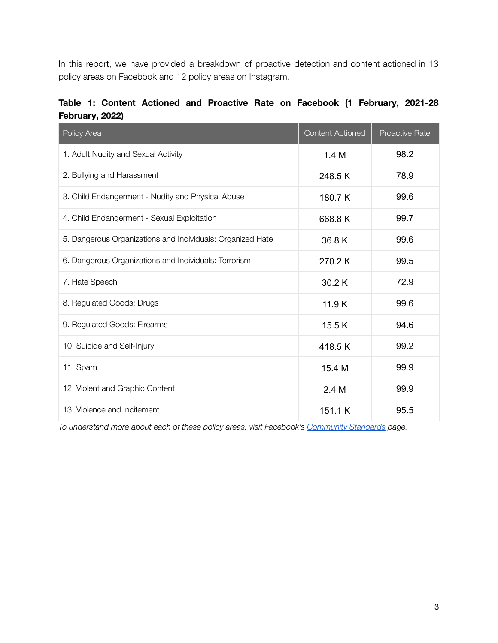In this report, we have provided a breakdown of proactive detection and content actioned in 13 policy areas on Facebook and 12 policy areas on Instagram.

|  |                 |  |  | Table 1: Content Actioned and Proactive Rate on Facebook (1 February, 2021-28 |  |  |
|--|-----------------|--|--|-------------------------------------------------------------------------------|--|--|
|  | February, 2022) |  |  |                                                                               |  |  |

| Policy Area                                                | <b>Content Actioned</b> | <b>Proactive Rate</b> |
|------------------------------------------------------------|-------------------------|-----------------------|
| 1. Adult Nudity and Sexual Activity                        | 1.4M                    | 98.2                  |
| 2. Bullying and Harassment                                 | 248.5K                  | 78.9                  |
| 3. Child Endangerment - Nudity and Physical Abuse          | 180.7K                  | 99.6                  |
| 4. Child Endangerment - Sexual Exploitation                | 668.8K                  | 99.7                  |
| 5. Dangerous Organizations and Individuals: Organized Hate | 36.8K                   | 99.6                  |
| 6. Dangerous Organizations and Individuals: Terrorism      | 270.2K                  | 99.5                  |
| 7. Hate Speech                                             | 30.2K                   | 72.9                  |
| 8. Regulated Goods: Drugs                                  | 11.9K                   | 99.6                  |
| 9. Regulated Goods: Firearms                               | 15.5K                   | 94.6                  |
| 10. Suicide and Self-Injury                                | 418.5K                  | 99.2                  |
| 11. Spam                                                   | 15.4 M                  | 99.9                  |
| 12. Violent and Graphic Content                            | 2.4M                    | 99.9                  |
| 13. Violence and Incitement                                | 151.1 K                 | 95.5                  |

*To understand more about each of these policy areas, visit Facebook's [Community](https://www.facebook.com/communitystandards/introduction) Standards page.*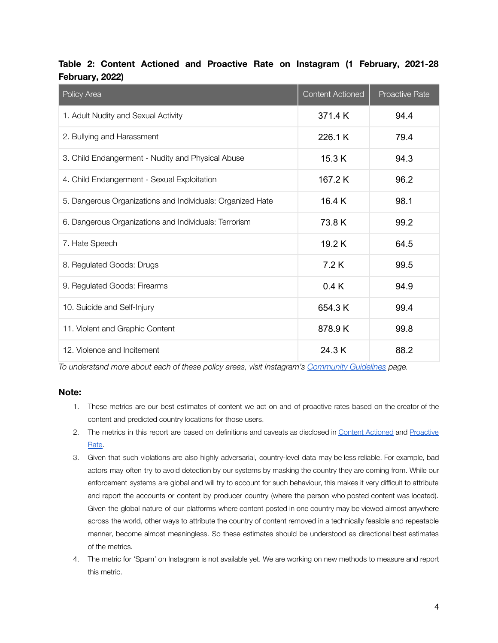| Policy Area                                                | <b>Content Actioned</b> | <b>Proactive Rate</b> |
|------------------------------------------------------------|-------------------------|-----------------------|
| 1. Adult Nudity and Sexual Activity                        | 371.4 K                 | 94.4                  |
| 2. Bullying and Harassment                                 | 226.1 K                 | 79.4                  |
| 3. Child Endangerment - Nudity and Physical Abuse          | 15.3 K                  | 94.3                  |
| 4. Child Endangerment - Sexual Exploitation                | 167.2K                  | 96.2                  |
| 5. Dangerous Organizations and Individuals: Organized Hate | 16.4 K                  | 98.1                  |
| 6. Dangerous Organizations and Individuals: Terrorism      | 73.8K                   | 99.2                  |
| 7. Hate Speech                                             | 19.2K                   | 64.5                  |
| 8. Regulated Goods: Drugs                                  | 7.2K                    | 99.5                  |
| 9. Regulated Goods: Firearms                               | 0.4K                    | 94.9                  |
| 10. Suicide and Self-Injury                                | 654.3K                  | 99.4                  |
| 11. Violent and Graphic Content                            | 878.9K                  | 99.8                  |
| 12. Violence and Incitement                                | 24.3K                   | 88.2                  |

### **Table 2: Content Actioned and Proactive Rate on Instagram (1 February, 2021-28 February, 2022)**

*To understand more about each of these policy areas, visit Instagram's [Community](https://www.facebook.com/help/instagram/477434105621119) Guidelines page.*

#### **Note:**

- 1. These metrics are our best estimates of content we act on and of proactive rates based on the creator of the content and predicted country locations for those users.
- 2. The metrics in this report are based on definitions and caveats as disclosed in Content [Actioned](https://transparency.fb.com/policies/improving/content-actioned-metric/) and [Proactive](https://transparency.fb.com/policies/improving/proactive-rate-metric/) [Rate.](https://transparency.fb.com/policies/improving/proactive-rate-metric/)
- 3. Given that such violations are also highly adversarial, country-level data may be less reliable. For example, bad actors may often try to avoid detection by our systems by masking the country they are coming from. While our enforcement systems are global and will try to account for such behaviour, this makes it very difficult to attribute and report the accounts or content by producer country (where the person who posted content was located). Given the global nature of our platforms where content posted in one country may be viewed almost anywhere across the world, other ways to attribute the country of content removed in a technically feasible and repeatable manner, become almost meaningless. So these estimates should be understood as directional best estimates of the metrics.
- 4. The metric for 'Spam' on Instagram is not available yet. We are working on new methods to measure and report this metric.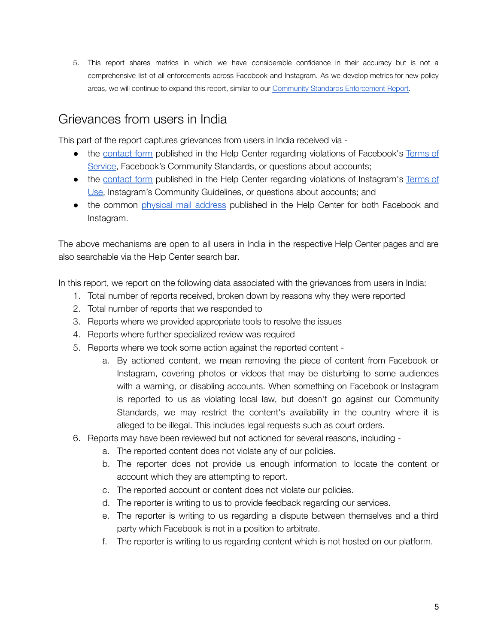5. This report shares metrics in which we have considerable confidence in their accuracy but is not a comprehensive list of all enforcements across Facebook and Instagram. As we develop metrics for new policy areas, we will continue to expand this report, similar to our [Community Standards Enforcement Report.](https://transparency.fb.com/data/community-standards-enforcement)

# Grievances from users in India

This part of the report captures grievances from users in India received via -

- the [contact](https://www.facebook.com/help/172990116225777) form published in the Help Center regarding violations of Facebook's [Terms](https://www.facebook.com/terms.php) of [Service,](https://www.facebook.com/terms.php) Facebook's Community Standards, or questions about accounts;
- the [contact](https://help.instagram.com/1359806704386690?helpref=search&sr=212&query=delete%20my%20account&search_session_id=082a8bb763b69787d9b26883f12bae01%20%20v) form published in the Help Center regarding violations of Instagram's [Terms](https://www.facebook.com/help/instagram/581066165581870) of [Use,](https://www.facebook.com/help/instagram/581066165581870) Instagram's Community Guidelines, or questions about accounts; and
- the common [physical](https://www.facebook.com/help/172990116225777) mail address published in the Help Center for both Facebook and Instagram.

The above mechanisms are open to all users in India in the respective Help Center pages and are also searchable via the Help Center search bar.

In this report, we report on the following data associated with the grievances from users in India:

- 1. Total number of reports received, broken down by reasons why they were reported
- 2. Total number of reports that we responded to
- 3. Reports where we provided appropriate tools to resolve the issues
- 4. Reports where further specialized review was required
- 5. Reports where we took some action against the reported content
	- a. By actioned content, we mean removing the piece of content from Facebook or Instagram, covering photos or videos that may be disturbing to some audiences with a warning, or disabling accounts. When something on Facebook or Instagram is reported to us as violating local law, but doesn't go against our Community Standards, we may restrict the content's availability in the country where it is alleged to be illegal. This includes legal requests such as court orders.
- 6. Reports may have been reviewed but not actioned for several reasons, including
	- a. The reported content does not violate any of our policies.
	- b. The reporter does not provide us enough information to locate the content or account which they are attempting to report.
	- c. The reported account or content does not violate our policies.
	- d. The reporter is writing to us to provide feedback regarding our services.
	- e. The reporter is writing to us regarding a dispute between themselves and a third party which Facebook is not in a position to arbitrate.
	- f. The reporter is writing to us regarding content which is not hosted on our platform.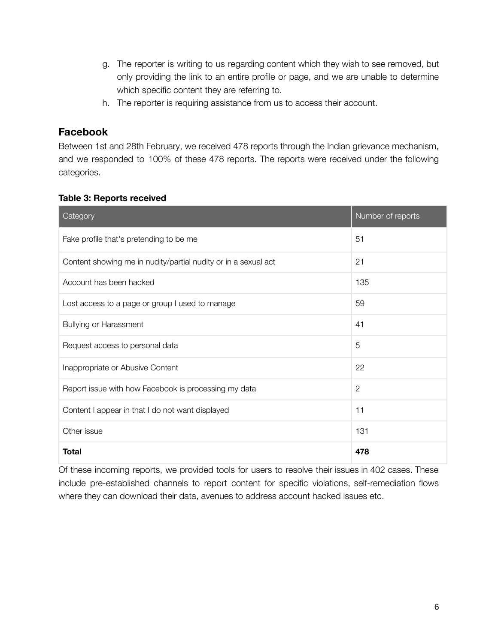- g. The reporter is writing to us regarding content which they wish to see removed, but only providing the link to an entire profile or page, and we are unable to determine which specific content they are referring to.
- h. The reporter is requiring assistance from us to access their account.

### **Facebook**

Between 1st and 28th February, we received 478 reports through the Indian grievance mechanism, and we responded to 100% of these 478 reports. The reports were received under the following categories.

### **Table 3: Reports received**

| Category                                                       | Number of reports |
|----------------------------------------------------------------|-------------------|
| Fake profile that's pretending to be me                        | 51                |
| Content showing me in nudity/partial nudity or in a sexual act | 21                |
| Account has been hacked                                        | 135               |
| Lost access to a page or group I used to manage                | 59                |
| <b>Bullying or Harassment</b>                                  | 41                |
| Request access to personal data                                | 5                 |
| Inappropriate or Abusive Content                               | 22                |
| Report issue with how Facebook is processing my data           | $\mathbf{2}$      |
| Content I appear in that I do not want displayed               | 11                |
| Other issue                                                    | 131               |
| <b>Total</b>                                                   | 478               |

Of these incoming reports, we provided tools for users to resolve their issues in 402 cases. These include pre-established channels to report content for specific violations, self-remediation flows where they can download their data, avenues to address account hacked issues etc.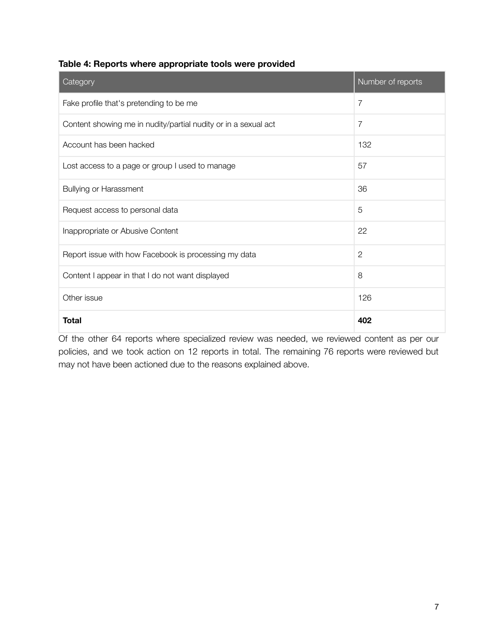| Table 4: Reports where appropriate tools were provided |
|--------------------------------------------------------|
|--------------------------------------------------------|

| Category                                                       | Number of reports |
|----------------------------------------------------------------|-------------------|
| Fake profile that's pretending to be me                        | 7                 |
| Content showing me in nudity/partial nudity or in a sexual act | 7                 |
| Account has been hacked                                        | 132               |
| Lost access to a page or group I used to manage                | 57                |
| <b>Bullying or Harassment</b>                                  | 36                |
| Request access to personal data                                | 5                 |
| Inappropriate or Abusive Content                               | 22                |
| Report issue with how Facebook is processing my data           | $\mathbf{2}$      |
| Content I appear in that I do not want displayed               | 8                 |
| Other issue                                                    | 126               |
| <b>Total</b>                                                   | 402               |

Of the other 64 reports where specialized review was needed, we reviewed content as per our policies, and we took action on 12 reports in total. The remaining 76 reports were reviewed but may not have been actioned due to the reasons explained above.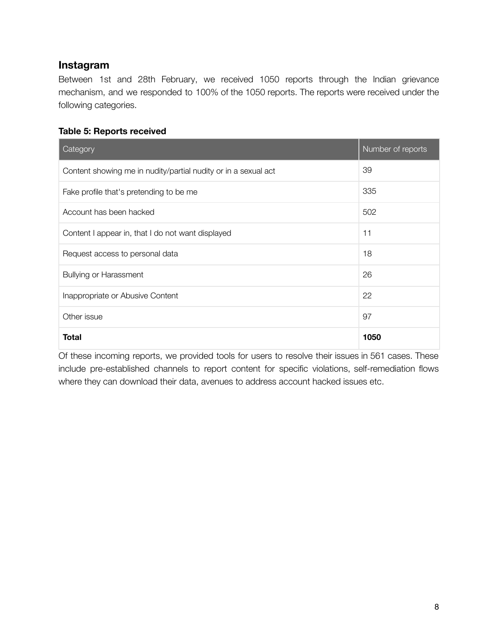### **Instagram**

Between 1st and 28th February, we received 1050 reports through the Indian grievance mechanism, and we responded to 100% of the 1050 reports. The reports were received under the following categories.

#### **Table 5: Reports received**

| Category                                                       | Number of reports |
|----------------------------------------------------------------|-------------------|
| Content showing me in nudity/partial nudity or in a sexual act | 39                |
| Fake profile that's pretending to be me                        | 335               |
| Account has been hacked                                        | 502               |
| Content I appear in, that I do not want displayed              | 11                |
| Request access to personal data                                | 18                |
| <b>Bullying or Harassment</b>                                  | 26                |
| Inappropriate or Abusive Content                               | 22                |
| Other issue                                                    | 97                |
| <b>Total</b>                                                   | 1050              |

Of these incoming reports, we provided tools for users to resolve their issues in 561 cases. These include pre-established channels to report content for specific violations, self-remediation flows where they can download their data, avenues to address account hacked issues etc.